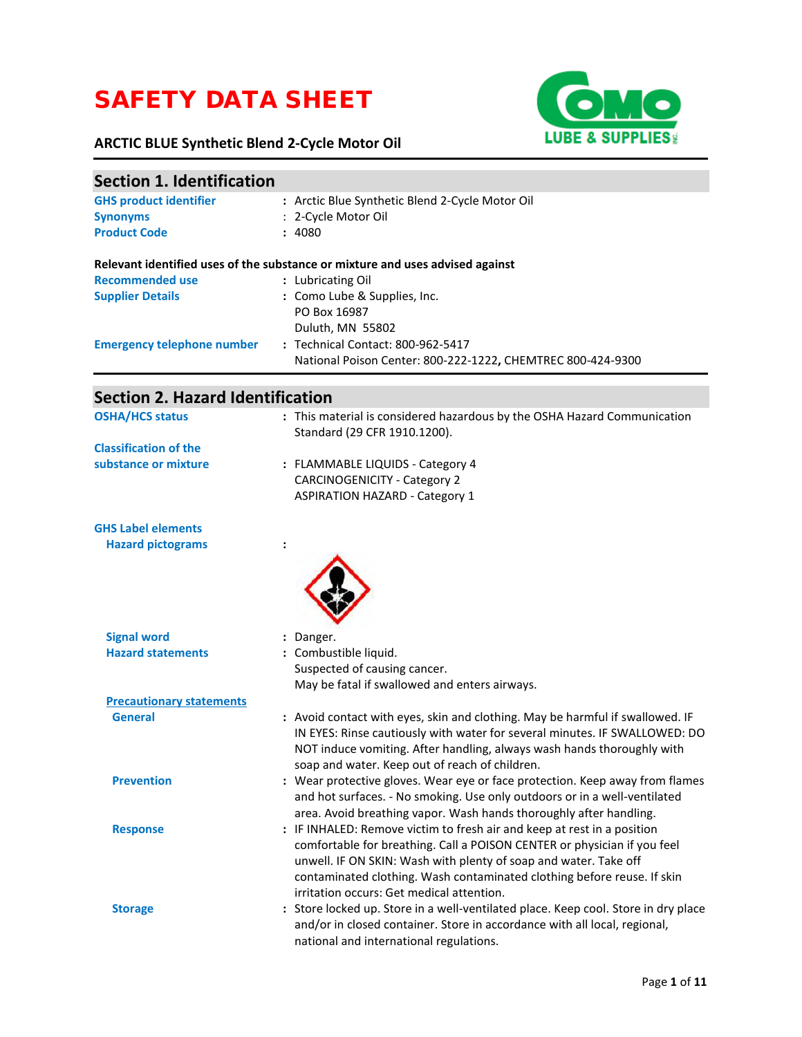# SAFETY DATA SHEET

## **ARCTIC BLUE Synthetic Blend 2-Cycle Motor Oil**



| <b>Section 1. Identification</b>        |                                                                                                                      |
|-----------------------------------------|----------------------------------------------------------------------------------------------------------------------|
| <b>GHS product identifier</b>           | : Arctic Blue Synthetic Blend 2-Cycle Motor Oil                                                                      |
| <b>Synonyms</b>                         | : 2-Cycle Motor Oil                                                                                                  |
| <b>Product Code</b>                     | : 4080                                                                                                               |
|                                         | Relevant identified uses of the substance or mixture and uses advised against                                        |
| <b>Recommended use</b>                  | : Lubricating Oil                                                                                                    |
| <b>Supplier Details</b>                 | : Como Lube & Supplies, Inc.                                                                                         |
|                                         | PO Box 16987                                                                                                         |
|                                         | Duluth, MN 55802                                                                                                     |
| <b>Emergency telephone number</b>       | : Technical Contact: 800-962-5417                                                                                    |
|                                         | National Poison Center: 800-222-1222, CHEMTREC 800-424-9300                                                          |
| <b>Section 2. Hazard Identification</b> |                                                                                                                      |
| <b>OSHA/HCS status</b>                  | : This material is considered hazardous by the OSHA Hazard Communication                                             |
|                                         | Standard (29 CFR 1910.1200).                                                                                         |
| <b>Classification of the</b>            |                                                                                                                      |
| substance or mixture                    | : FLAMMABLE LIQUIDS - Category 4                                                                                     |
|                                         | <b>CARCINOGENICITY - Category 2</b>                                                                                  |
|                                         | <b>ASPIRATION HAZARD - Category 1</b>                                                                                |
| <b>GHS Label elements</b>               |                                                                                                                      |
| <b>Hazard pictograms</b>                |                                                                                                                      |
|                                         |                                                                                                                      |
| <b>Signal word</b>                      | : Danger.                                                                                                            |
| <b>Hazard statements</b>                | : Combustible liquid.                                                                                                |
|                                         | Suspected of causing cancer.                                                                                         |
|                                         | May be fatal if swallowed and enters airways.                                                                        |
| <b>Precautionary statements</b>         |                                                                                                                      |
| <b>General</b>                          | : Avoid contact with eyes, skin and clothing. May be harmful if swallowed. IF                                        |
|                                         | IN EYES: Rinse cautiously with water for several minutes. IF SWALLOWED: DO                                           |
|                                         | NOT induce vomiting. After handling, always wash hands thoroughly with                                               |
|                                         | soap and water. Keep out of reach of children.                                                                       |
| <b>Prevention</b>                       | : Wear protective gloves. Wear eye or face protection. Keep away from flames                                         |
|                                         | and hot surfaces. - No smoking. Use only outdoors or in a well-ventilated                                            |
|                                         | area. Avoid breathing vapor. Wash hands thoroughly after handling.                                                   |
| <b>Response</b>                         | : IF INHALED: Remove victim to fresh air and keep at rest in a position                                              |
|                                         | comfortable for breathing. Call a POISON CENTER or physician if you feel                                             |
|                                         | unwell. IF ON SKIN: Wash with plenty of soap and water. Take off                                                     |
|                                         | contaminated clothing. Wash contaminated clothing before reuse. If skin                                              |
|                                         | irritation occurs: Get medical attention.                                                                            |
| <b>Storage</b>                          | : Store locked up. Store in a well-ventilated place. Keep cool. Store in dry place                                   |
|                                         | and/or in closed container. Store in accordance with all local, regional,<br>national and international regulations. |
|                                         |                                                                                                                      |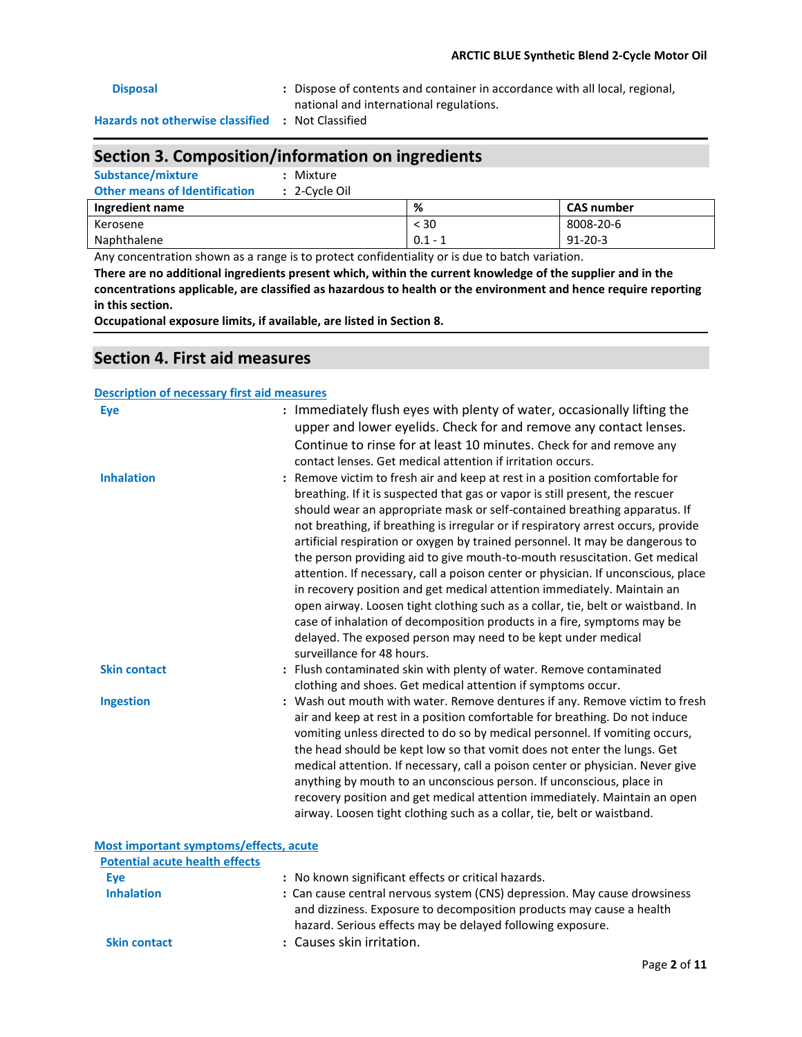### **Disposal :** Dispose of contents and container in accordance with all local, regional, national and international regulations. **Hazards not otherwise classified :** Not Classified

### **Section 3. Composition/information on ingredients**

**Substance/mixture :** Mixture **Other means of Identification :** 2-Cycle Oil

| <b>UNICE INCOME OF RESIGNATION</b><br>$\sim$ $\sim$ $\sim$ $\sim$ $\sim$ $\sim$ |           |                   |
|---------------------------------------------------------------------------------|-----------|-------------------|
| Ingredient name                                                                 | %         | <b>CAS number</b> |
| Kerosene                                                                        | $<$ 30    | 8008-20-6         |
| Naphthalene                                                                     | $0.1 - 7$ | $91 - 20 - 3$     |

Any concentration shown as a range is to protect confidentiality or is due to batch variation.

**There are no additional ingredients present which, within the current knowledge of the supplier and in the concentrations applicable, are classified as hazardous to health or the environment and hence require reporting in this section.** 

**Occupational exposure limits, if available, are listed in Section 8.** 

#### **Section 4. First aid measures**

#### **Description of necessary first aid measures**

| <b>Eye</b>                                          | : Immediately flush eyes with plenty of water, occasionally lifting the<br>upper and lower eyelids. Check for and remove any contact lenses.<br>Continue to rinse for at least 10 minutes. Check for and remove any<br>contact lenses. Get medical attention if irritation occurs.                                                                                                                                                                                                                                                                                                                                                                                                                                                                                                                                                                                                                                         |
|-----------------------------------------------------|----------------------------------------------------------------------------------------------------------------------------------------------------------------------------------------------------------------------------------------------------------------------------------------------------------------------------------------------------------------------------------------------------------------------------------------------------------------------------------------------------------------------------------------------------------------------------------------------------------------------------------------------------------------------------------------------------------------------------------------------------------------------------------------------------------------------------------------------------------------------------------------------------------------------------|
| <b>Inhalation</b>                                   | : Remove victim to fresh air and keep at rest in a position comfortable for<br>breathing. If it is suspected that gas or vapor is still present, the rescuer<br>should wear an appropriate mask or self-contained breathing apparatus. If<br>not breathing, if breathing is irregular or if respiratory arrest occurs, provide<br>artificial respiration or oxygen by trained personnel. It may be dangerous to<br>the person providing aid to give mouth-to-mouth resuscitation. Get medical<br>attention. If necessary, call a poison center or physician. If unconscious, place<br>in recovery position and get medical attention immediately. Maintain an<br>open airway. Loosen tight clothing such as a collar, tie, belt or waistband. In<br>case of inhalation of decomposition products in a fire, symptoms may be<br>delayed. The exposed person may need to be kept under medical<br>surveillance for 48 hours. |
| <b>Skin contact</b>                                 | : Flush contaminated skin with plenty of water. Remove contaminated<br>clothing and shoes. Get medical attention if symptoms occur.                                                                                                                                                                                                                                                                                                                                                                                                                                                                                                                                                                                                                                                                                                                                                                                        |
| <b>Ingestion</b>                                    | : Wash out mouth with water. Remove dentures if any. Remove victim to fresh<br>air and keep at rest in a position comfortable for breathing. Do not induce<br>vomiting unless directed to do so by medical personnel. If vomiting occurs,<br>the head should be kept low so that vomit does not enter the lungs. Get<br>medical attention. If necessary, call a poison center or physician. Never give<br>anything by mouth to an unconscious person. If unconscious, place in<br>recovery position and get medical attention immediately. Maintain an open<br>airway. Loosen tight clothing such as a collar, tie, belt or waistband.                                                                                                                                                                                                                                                                                     |
| Most important symptoms/effects, acute              |                                                                                                                                                                                                                                                                                                                                                                                                                                                                                                                                                                                                                                                                                                                                                                                                                                                                                                                            |
| <b>Potential acute health effects</b><br><b>Eye</b> | : No known significant effects or critical hazards.                                                                                                                                                                                                                                                                                                                                                                                                                                                                                                                                                                                                                                                                                                                                                                                                                                                                        |
|                                                     |                                                                                                                                                                                                                                                                                                                                                                                                                                                                                                                                                                                                                                                                                                                                                                                                                                                                                                                            |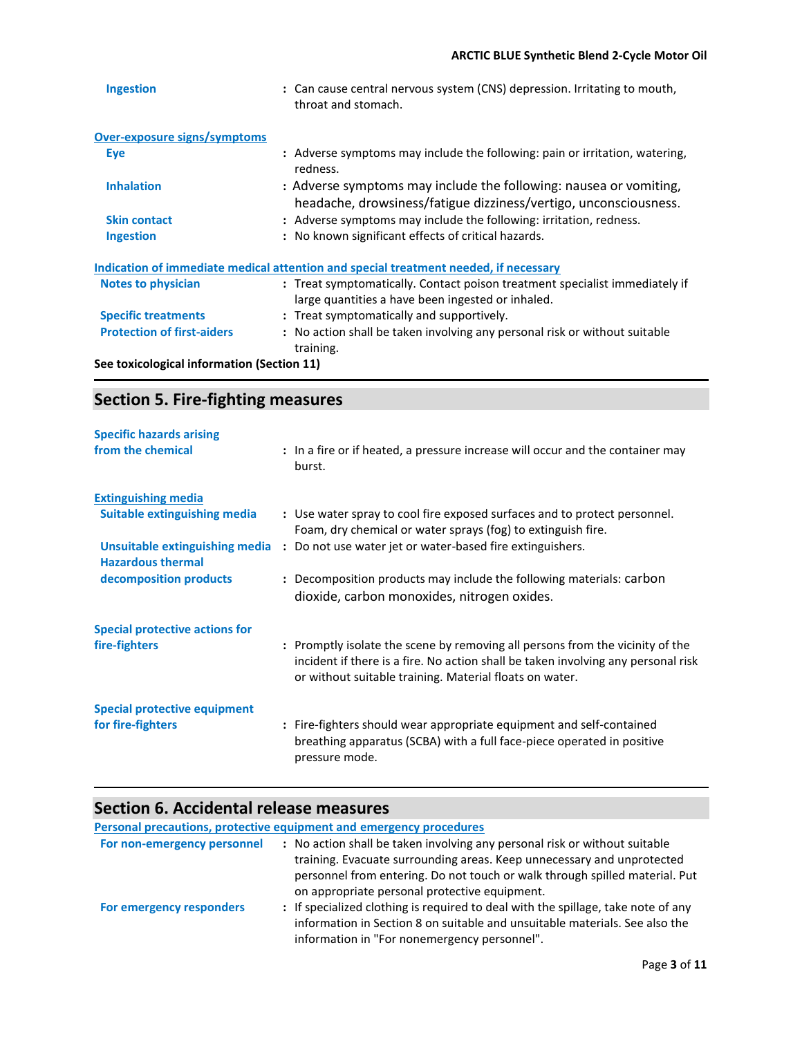| <b>Ingestion</b>                                                                     | : Can cause central nervous system (CNS) depression. Irritating to mouth,<br>throat and stomach.                                      |  |  |
|--------------------------------------------------------------------------------------|---------------------------------------------------------------------------------------------------------------------------------------|--|--|
| <b>Over-exposure signs/symptoms</b>                                                  |                                                                                                                                       |  |  |
| <b>Eye</b>                                                                           | : Adverse symptoms may include the following: pain or irritation, watering,<br>redness.                                               |  |  |
| <b>Inhalation</b>                                                                    | : Adverse symptoms may include the following: nausea or vomiting,<br>headache, drowsiness/fatigue dizziness/vertigo, unconsciousness. |  |  |
| <b>Skin contact</b>                                                                  | : Adverse symptoms may include the following: irritation, redness.                                                                    |  |  |
| <b>Ingestion</b>                                                                     | : No known significant effects of critical hazards.                                                                                   |  |  |
| Indication of immediate medical attention and special treatment needed, if necessary |                                                                                                                                       |  |  |
| <b>Notes to physician</b>                                                            | : Treat symptomatically. Contact poison treatment specialist immediately if<br>large quantities a have been ingested or inhaled.      |  |  |
| <b>Specific treatments</b>                                                           | : Treat symptomatically and supportively.                                                                                             |  |  |
| <b>Protection of first-aiders</b>                                                    | : No action shall be taken involving any personal risk or without suitable<br>training.                                               |  |  |
| See toxicological information (Section 11)                                           |                                                                                                                                       |  |  |

## **Section 5. Fire-fighting measures**

| <b>Specific hazards arising</b>     |                                                                                                                                                                                                                               |
|-------------------------------------|-------------------------------------------------------------------------------------------------------------------------------------------------------------------------------------------------------------------------------|
| from the chemical                   | : In a fire or if heated, a pressure increase will occur and the container may<br>burst.                                                                                                                                      |
| <b>Extinguishing media</b>          |                                                                                                                                                                                                                               |
| <b>Suitable extinguishing media</b> | : Use water spray to cool fire exposed surfaces and to protect personnel.<br>Foam, dry chemical or water sprays (fog) to extinguish fire.                                                                                     |
| <b>Hazardous thermal</b>            | Unsuitable extinguishing media : Do not use water jet or water-based fire extinguishers.                                                                                                                                      |
| decomposition products              | : Decomposition products may include the following materials: carbon<br>dioxide, carbon monoxides, nitrogen oxides.                                                                                                           |
| Special protective actions for      |                                                                                                                                                                                                                               |
| fire-fighters                       | : Promptly isolate the scene by removing all persons from the vicinity of the<br>incident if there is a fire. No action shall be taken involving any personal risk<br>or without suitable training. Material floats on water. |
| <b>Special protective equipment</b> |                                                                                                                                                                                                                               |
| for fire-fighters                   | : Fire-fighters should wear appropriate equipment and self-contained<br>breathing apparatus (SCBA) with a full face-piece operated in positive<br>pressure mode.                                                              |

### **Section 6. Accidental release measures**

**Personal precautions, protective equipment and emergency procedures** 

| For non-emergency personnel | : No action shall be taken involving any personal risk or without suitable<br>training. Evacuate surrounding areas. Keep unnecessary and unprotected<br>personnel from entering. Do not touch or walk through spilled material. Put<br>on appropriate personal protective equipment. |
|-----------------------------|--------------------------------------------------------------------------------------------------------------------------------------------------------------------------------------------------------------------------------------------------------------------------------------|
| For emergency responders    | : If specialized clothing is required to deal with the spillage, take note of any<br>information in Section 8 on suitable and unsuitable materials. See also the<br>information in "For nonemergency personnel".                                                                     |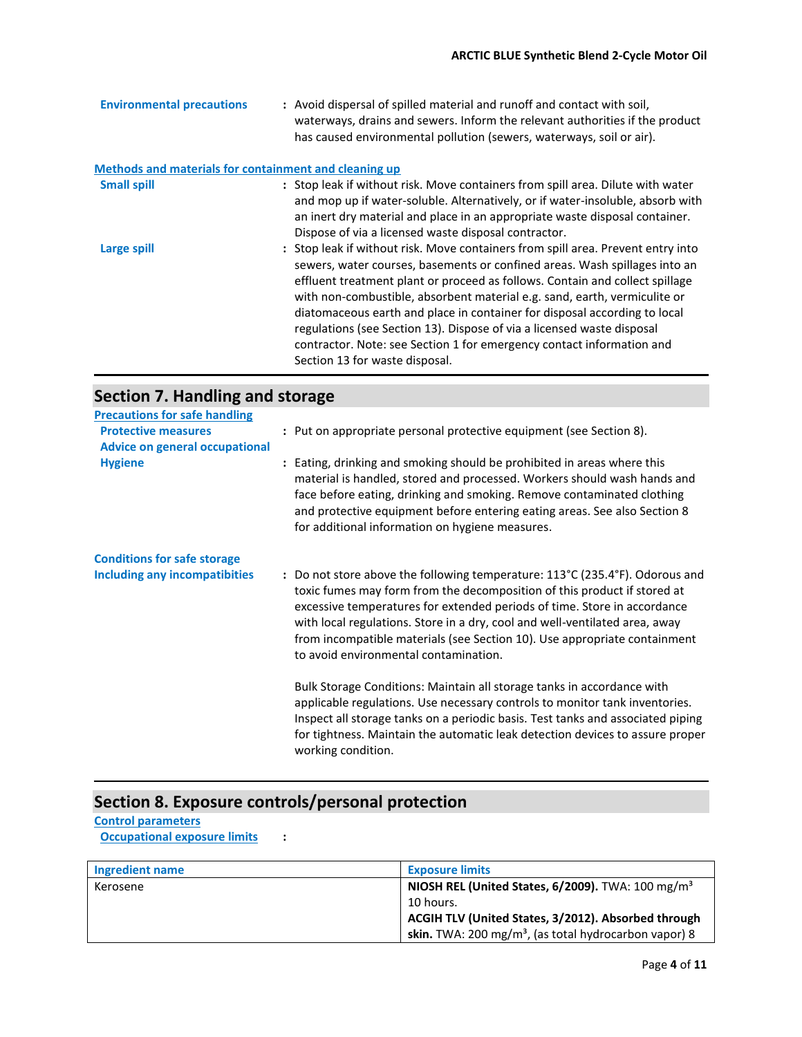| <b>Environmental precautions</b>                      | : Avoid dispersal of spilled material and runoff and contact with soil,<br>waterways, drains and sewers. Inform the relevant authorities if the product<br>has caused environmental pollution (sewers, waterways, soil or air).                                                                                                                                                                                                                                                                                                                                                               |
|-------------------------------------------------------|-----------------------------------------------------------------------------------------------------------------------------------------------------------------------------------------------------------------------------------------------------------------------------------------------------------------------------------------------------------------------------------------------------------------------------------------------------------------------------------------------------------------------------------------------------------------------------------------------|
| Methods and materials for containment and cleaning up |                                                                                                                                                                                                                                                                                                                                                                                                                                                                                                                                                                                               |
| <b>Small spill</b>                                    | : Stop leak if without risk. Move containers from spill area. Dilute with water<br>and mop up if water-soluble. Alternatively, or if water-insoluble, absorb with<br>an inert dry material and place in an appropriate waste disposal container.<br>Dispose of via a licensed waste disposal contractor.                                                                                                                                                                                                                                                                                      |
| Large spill                                           | : Stop leak if without risk. Move containers from spill area. Prevent entry into<br>sewers, water courses, basements or confined areas. Wash spillages into an<br>effluent treatment plant or proceed as follows. Contain and collect spillage<br>with non-combustible, absorbent material e.g. sand, earth, vermiculite or<br>diatomaceous earth and place in container for disposal according to local<br>regulations (see Section 13). Dispose of via a licensed waste disposal<br>contractor. Note: see Section 1 for emergency contact information and<br>Section 13 for waste disposal. |

## **Section 7. Handling and storage**

| <b>Precautions for safe handling</b>                                |                                                                                                                                                                                                                                                                                                                                                                                                                                           |
|---------------------------------------------------------------------|-------------------------------------------------------------------------------------------------------------------------------------------------------------------------------------------------------------------------------------------------------------------------------------------------------------------------------------------------------------------------------------------------------------------------------------------|
| <b>Protective measures</b><br><b>Advice on general occupational</b> | : Put on appropriate personal protective equipment (see Section 8).                                                                                                                                                                                                                                                                                                                                                                       |
| <b>Hygiene</b>                                                      | : Eating, drinking and smoking should be prohibited in areas where this<br>material is handled, stored and processed. Workers should wash hands and<br>face before eating, drinking and smoking. Remove contaminated clothing<br>and protective equipment before entering eating areas. See also Section 8<br>for additional information on hygiene measures.                                                                             |
| <b>Conditions for safe storage</b>                                  |                                                                                                                                                                                                                                                                                                                                                                                                                                           |
| <b>Including any incompatibities</b>                                | : Do not store above the following temperature: 113°C (235.4°F). Odorous and<br>toxic fumes may form from the decomposition of this product if stored at<br>excessive temperatures for extended periods of time. Store in accordance<br>with local regulations. Store in a dry, cool and well-ventilated area, away<br>from incompatible materials (see Section 10). Use appropriate containment<br>to avoid environmental contamination. |
|                                                                     | Bulk Storage Conditions: Maintain all storage tanks in accordance with<br>applicable regulations. Use necessary controls to monitor tank inventories.<br>Inspect all storage tanks on a periodic basis. Test tanks and associated piping<br>for tightness. Maintain the automatic leak detection devices to assure proper<br>working condition.                                                                                           |

## **Section 8. Exposure controls/personal protection**

**Control parameters** 

**Occupational exposure limits :** 

| Ingredient name | <b>Exposure limits</b>                                                   |
|-----------------|--------------------------------------------------------------------------|
| Kerosene        | NIOSH REL (United States, 6/2009). TWA: 100 mg/m <sup>3</sup>            |
|                 | 10 hours.                                                                |
|                 | ACGIH TLV (United States, 3/2012). Absorbed through                      |
|                 | <b>skin.</b> TWA: 200 mg/m <sup>3</sup> , (as total hydrocarbon vapor) 8 |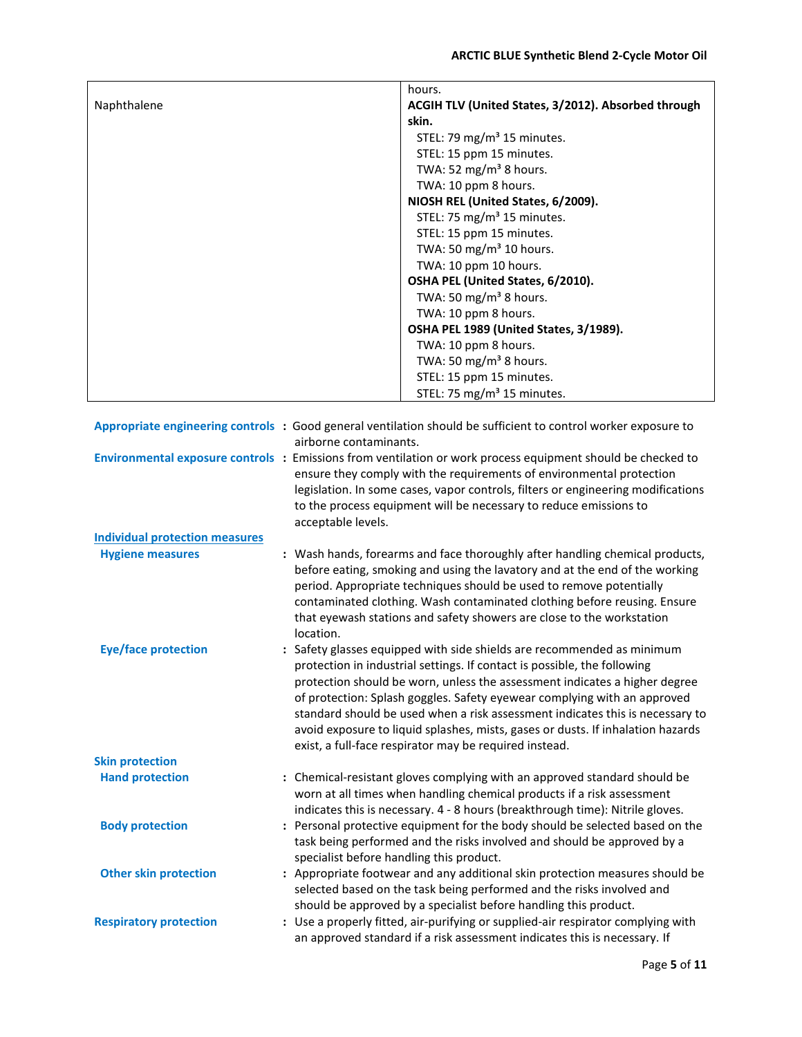|                                       |                                          | hours.                                                                                                        |
|---------------------------------------|------------------------------------------|---------------------------------------------------------------------------------------------------------------|
| Naphthalene                           |                                          | ACGIH TLV (United States, 3/2012). Absorbed through                                                           |
|                                       |                                          | skin.                                                                                                         |
|                                       |                                          | STEL: 79 mg/m <sup>3</sup> 15 minutes.                                                                        |
|                                       |                                          | STEL: 15 ppm 15 minutes.                                                                                      |
|                                       |                                          | TWA: 52 mg/m <sup>3</sup> 8 hours.                                                                            |
|                                       |                                          | TWA: 10 ppm 8 hours.                                                                                          |
|                                       |                                          | NIOSH REL (United States, 6/2009).                                                                            |
|                                       |                                          | STEL: 75 mg/m <sup>3</sup> 15 minutes.                                                                        |
|                                       |                                          | STEL: 15 ppm 15 minutes.                                                                                      |
|                                       |                                          | TWA: 50 mg/m <sup>3</sup> 10 hours.                                                                           |
|                                       |                                          | TWA: 10 ppm 10 hours.                                                                                         |
|                                       |                                          | OSHA PEL (United States, 6/2010).                                                                             |
|                                       |                                          | TWA: 50 mg/m <sup>3</sup> 8 hours.                                                                            |
|                                       |                                          | TWA: 10 ppm 8 hours.                                                                                          |
|                                       |                                          | OSHA PEL 1989 (United States, 3/1989).                                                                        |
|                                       |                                          | TWA: 10 ppm 8 hours.                                                                                          |
|                                       |                                          | TWA: 50 mg/m <sup>3</sup> 8 hours.                                                                            |
|                                       |                                          | STEL: 15 ppm 15 minutes.                                                                                      |
|                                       |                                          | STEL: 75 mg/m <sup>3</sup> 15 minutes.                                                                        |
|                                       |                                          |                                                                                                               |
|                                       |                                          | Appropriate engineering controls: Good general ventilation should be sufficient to control worker exposure to |
|                                       | airborne contaminants.                   |                                                                                                               |
|                                       |                                          | Environmental exposure controls : Emissions from ventilation or work process equipment should be checked to   |
|                                       |                                          | ensure they comply with the requirements of environmental protection                                          |
|                                       |                                          | legislation. In some cases, vapor controls, filters or engineering modifications                              |
|                                       |                                          | to the process equipment will be necessary to reduce emissions to                                             |
|                                       | acceptable levels.                       |                                                                                                               |
| <b>Individual protection measures</b> |                                          |                                                                                                               |
| <b>Hygiene measures</b>               |                                          | : Wash hands, forearms and face thoroughly after handling chemical products,                                  |
|                                       |                                          | before eating, smoking and using the lavatory and at the end of the working                                   |
|                                       |                                          | period. Appropriate techniques should be used to remove potentially                                           |
|                                       |                                          | contaminated clothing. Wash contaminated clothing before reusing. Ensure                                      |
|                                       |                                          | that eyewash stations and safety showers are close to the workstation                                         |
|                                       | location.                                |                                                                                                               |
| <b>Eye/face protection</b>            |                                          | : Safety glasses equipped with side shields are recommended as minimum                                        |
|                                       |                                          | protection in industrial settings. If contact is possible, the following                                      |
|                                       |                                          | protection should be worn, unless the assessment indicates a higher degree                                    |
|                                       |                                          | of protection: Splash goggles. Safety eyewear complying with an approved                                      |
|                                       |                                          | standard should be used when a risk assessment indicates this is necessary to                                 |
|                                       |                                          | avoid exposure to liquid splashes, mists, gases or dusts. If inhalation hazards                               |
|                                       |                                          | exist, a full-face respirator may be required instead.                                                        |
| <b>Skin protection</b>                |                                          |                                                                                                               |
| <b>Hand protection</b>                |                                          | : Chemical-resistant gloves complying with an approved standard should be                                     |
|                                       |                                          | worn at all times when handling chemical products if a risk assessment                                        |
|                                       |                                          | indicates this is necessary. 4 - 8 hours (breakthrough time): Nitrile gloves.                                 |
| <b>Body protection</b>                |                                          | : Personal protective equipment for the body should be selected based on the                                  |
|                                       |                                          | task being performed and the risks involved and should be approved by a                                       |
|                                       | specialist before handling this product. |                                                                                                               |
| <b>Other skin protection</b>          |                                          | : Appropriate footwear and any additional skin protection measures should be                                  |
|                                       |                                          | selected based on the task being performed and the risks involved and                                         |
|                                       |                                          | should be approved by a specialist before handling this product.                                              |
| <b>Respiratory protection</b>         |                                          | : Use a properly fitted, air-purifying or supplied-air respirator complying with                              |
|                                       |                                          | an approved standard if a risk assessment indicates this is necessary. If                                     |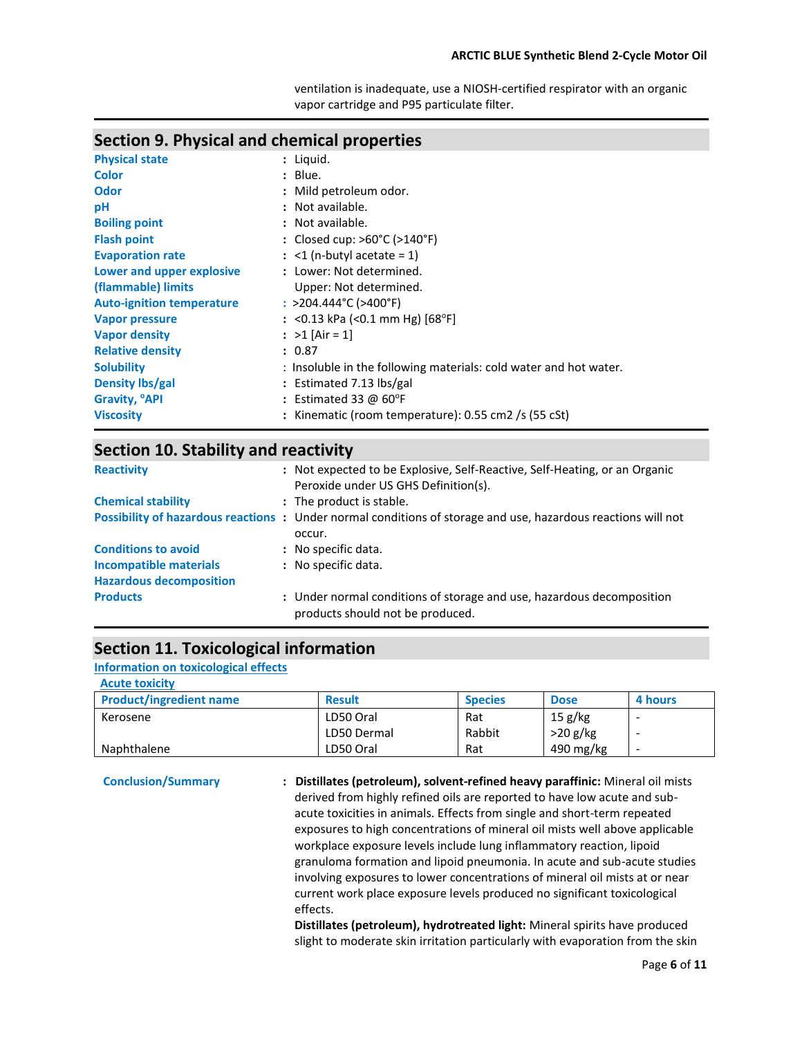ventilation is inadequate, use a NIOSH-certified respirator with an organic vapor cartridge and P95 particulate filter.

### **Section 9. Physical and chemical properties**

| <b>Physical state</b>            | : Liquid.                                                         |
|----------------------------------|-------------------------------------------------------------------|
| <b>Color</b>                     | $:$ Blue.                                                         |
| Odor                             | : Mild petroleum odor.                                            |
| pH                               | : Not available.                                                  |
| <b>Boiling point</b>             | : Not available.                                                  |
| <b>Flash point</b>               | : Closed cup: $>60^{\circ}$ C ( $>140^{\circ}$ F)                 |
| <b>Evaporation rate</b>          | $:$ <1 (n-butyl acetate = 1)                                      |
| Lower and upper explosive        | : Lower: Not determined.                                          |
| (flammable) limits               | Upper: Not determined.                                            |
| <b>Auto-ignition temperature</b> | : $>$ 204.444°C ( $>$ 400°F)                                      |
| <b>Vapor pressure</b>            | : <0.13 kPa (<0.1 mm Hg) $[68^{\circ}F]$                          |
| <b>Vapor density</b>             | : $>1$ [Air = 1]                                                  |
| <b>Relative density</b>          | : 0.87                                                            |
| <b>Solubility</b>                | : Insoluble in the following materials: cold water and hot water. |
| Density lbs/gal                  | : Estimated 7.13 $\frac{1}{2}$                                    |
| Gravity, <sup>o</sup> API        | : Estimated 33 @ $60^{\circ}$ F                                   |
| <b>Viscosity</b>                 | : Kinematic (room temperature): 0.55 cm2 /s (55 cSt)              |
|                                  |                                                                   |

### **Section 10. Stability and reactivity**

| <b>Reactivity</b>              | : Not expected to be Explosive, Self-Reactive, Self-Heating, or an Organic<br>Peroxide under US GHS Definition(s).     |
|--------------------------------|------------------------------------------------------------------------------------------------------------------------|
| <b>Chemical stability</b>      | : The product is stable.                                                                                               |
|                                | Possibility of hazardous reactions: Under normal conditions of storage and use, hazardous reactions will not<br>occur. |
| <b>Conditions to avoid</b>     | : No specific data.                                                                                                    |
| Incompatible materials         | : No specific data.                                                                                                    |
| <b>Hazardous decomposition</b> |                                                                                                                        |
| <b>Products</b>                | : Under normal conditions of storage and use, hazardous decomposition<br>products should not be produced.              |

### **Section 11. Toxicological information**

#### **Information on toxicological effects**

| <b>Acute toxicity</b>          |               |                |             |         |
|--------------------------------|---------------|----------------|-------------|---------|
| <b>Product/ingredient name</b> | <b>Result</b> | <b>Species</b> | <b>Dose</b> | 4 hours |
| Kerosene                       | LD50 Oral     | Rat            | 15 g/kg     |         |
|                                | LD50 Dermal   | Rabbit         | $>20$ g/kg  |         |
| Naphthalene                    | LD50 Oral     | Rat            | 490 mg/kg   | -       |

 **Conclusion/Summary : Distillates (petroleum), solvent-refined heavy paraffinic:** Mineral oil mists derived from highly refined oils are reported to have low acute and subacute toxicities in animals. Effects from single and short-term repeated exposures to high concentrations of mineral oil mists well above applicable workplace exposure levels include lung inflammatory reaction, lipoid granuloma formation and lipoid pneumonia. In acute and sub-acute studies involving exposures to lower concentrations of mineral oil mists at or near current work place exposure levels produced no significant toxicological effects.

**Distillates (petroleum), hydrotreated light:** Mineral spirits have produced slight to moderate skin irritation particularly with evaporation from the skin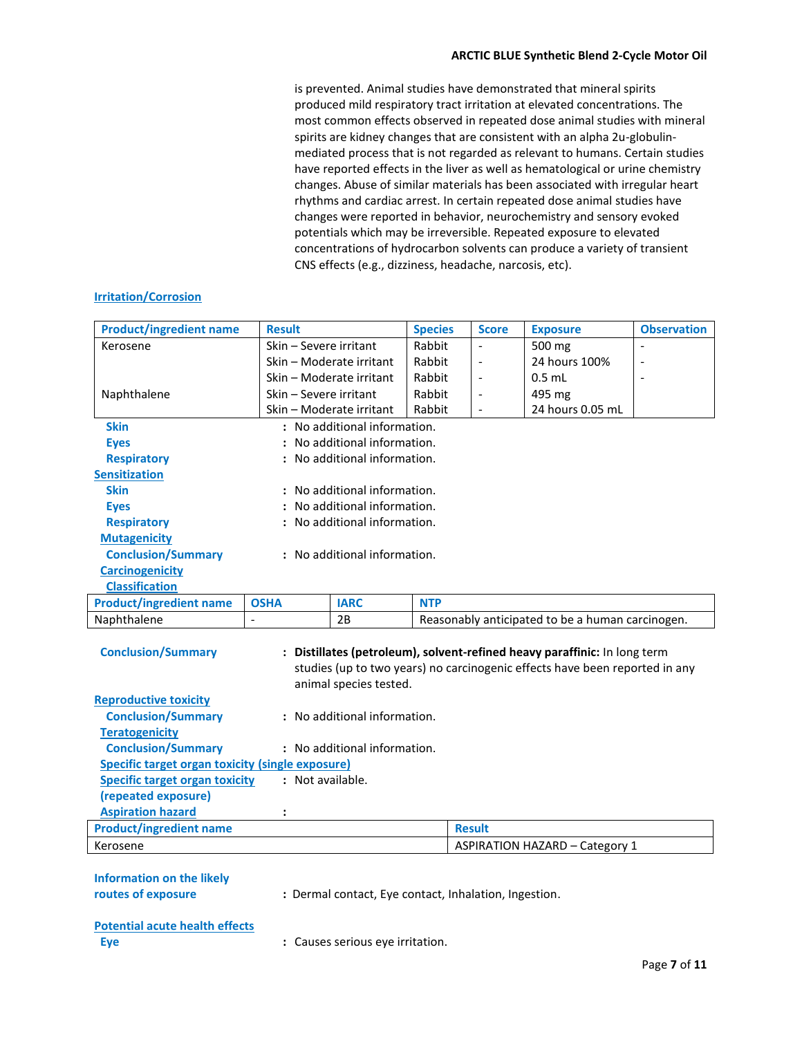is prevented. Animal studies have demonstrated that mineral spirits produced mild respiratory tract irritation at elevated concentrations. The most common effects observed in repeated dose animal studies with mineral spirits are kidney changes that are consistent with an alpha 2u-globulinmediated process that is not regarded as relevant to humans. Certain studies have reported effects in the liver as well as hematological or urine chemistry changes. Abuse of similar materials has been associated with irregular heart rhythms and cardiac arrest. In certain repeated dose animal studies have changes were reported in behavior, neurochemistry and sensory evoked potentials which may be irreversible. Repeated exposure to elevated concentrations of hydrocarbon solvents can produce a variety of transient CNS effects (e.g., dizziness, headache, narcosis, etc).

#### **Irritation/Corrosion**

| <b>Product/ingredient name</b>                            | <b>Result</b>                |                              | <b>Species</b> | <b>Score</b>             | <b>Exposure</b>                                                                                                                                          | <b>Observation</b> |  |
|-----------------------------------------------------------|------------------------------|------------------------------|----------------|--------------------------|----------------------------------------------------------------------------------------------------------------------------------------------------------|--------------------|--|
| Kerosene                                                  | Skin - Severe irritant       |                              | Rabbit         |                          | 500 mg                                                                                                                                                   |                    |  |
|                                                           | Skin - Moderate irritant     |                              | Rabbit         | $\overline{a}$           | 24 hours 100%                                                                                                                                            |                    |  |
|                                                           |                              | Skin - Moderate irritant     |                | $\blacksquare$           | $0.5$ mL                                                                                                                                                 |                    |  |
| Naphthalene                                               | Skin - Severe irritant       |                              | Rabbit         | $\overline{\phantom{a}}$ | 495 mg                                                                                                                                                   |                    |  |
|                                                           | Skin - Moderate irritant     |                              | Rabbit         | $\overline{a}$           | 24 hours 0.05 mL                                                                                                                                         |                    |  |
| <b>Skin</b>                                               | : No additional information. |                              |                |                          |                                                                                                                                                          |                    |  |
| <b>Eyes</b>                                               |                              | No additional information.   |                |                          |                                                                                                                                                          |                    |  |
| <b>Respiratory</b>                                        |                              | No additional information.   |                |                          |                                                                                                                                                          |                    |  |
| <b>Sensitization</b>                                      |                              |                              |                |                          |                                                                                                                                                          |                    |  |
| <b>Skin</b>                                               |                              | No additional information.   |                |                          |                                                                                                                                                          |                    |  |
| <b>Eyes</b>                                               |                              | No additional information.   |                |                          |                                                                                                                                                          |                    |  |
| <b>Respiratory</b>                                        |                              | No additional information.   |                |                          |                                                                                                                                                          |                    |  |
| <b>Mutagenicity</b>                                       |                              |                              |                |                          |                                                                                                                                                          |                    |  |
| <b>Conclusion/Summary</b><br>: No additional information. |                              |                              |                |                          |                                                                                                                                                          |                    |  |
| <b>Carcinogenicity</b>                                    |                              |                              |                |                          |                                                                                                                                                          |                    |  |
| <b>Classification</b>                                     |                              |                              |                |                          |                                                                                                                                                          |                    |  |
| <b>Product/ingredient name</b>                            | <b>OSHA</b>                  | <b>IARC</b>                  | <b>NTP</b>     |                          |                                                                                                                                                          |                    |  |
| Naphthalene                                               | $\overline{a}$               | 2B                           |                |                          | Reasonably anticipated to be a human carcinogen.                                                                                                         |                    |  |
| <b>Conclusion/Summary</b>                                 |                              | animal species tested.       |                |                          | : Distillates (petroleum), solvent-refined heavy paraffinic: In long term<br>studies (up to two years) no carcinogenic effects have been reported in any |                    |  |
| <b>Reproductive toxicity</b>                              |                              |                              |                |                          |                                                                                                                                                          |                    |  |
| <b>Conclusion/Summary</b>                                 |                              | : No additional information. |                |                          |                                                                                                                                                          |                    |  |
| <b>Teratogenicity</b>                                     |                              |                              |                |                          |                                                                                                                                                          |                    |  |
| <b>Conclusion/Summary</b>                                 |                              | : No additional information. |                |                          |                                                                                                                                                          |                    |  |
| <b>Specific target organ toxicity (single exposure)</b>   |                              |                              |                |                          |                                                                                                                                                          |                    |  |
| <b>Specific target organ toxicity</b>                     | : Not available.             |                              |                |                          |                                                                                                                                                          |                    |  |
| (repeated exposure)                                       |                              |                              |                |                          |                                                                                                                                                          |                    |  |
| <b>Aspiration hazard</b>                                  |                              |                              |                |                          |                                                                                                                                                          |                    |  |
| <b>Product/ingredient name</b>                            |                              |                              |                | <b>Result</b>            |                                                                                                                                                          |                    |  |
| Kerosene                                                  |                              |                              |                |                          | <b>ASPIRATION HAZARD - Category 1</b>                                                                                                                    |                    |  |
|                                                           |                              |                              |                |                          |                                                                                                                                                          |                    |  |
|                                                           |                              |                              |                |                          |                                                                                                                                                          |                    |  |

| Information on the likely |         |
|---------------------------|---------|
| routes of exposure        | : Derma |
|                           |         |

*rand* contact, Inhalation, Ingestion.

### **Potential acute health effects**

**Eye Exercise Exercise Serious exertion. Exercise Serious exercises** Serious eye irritation.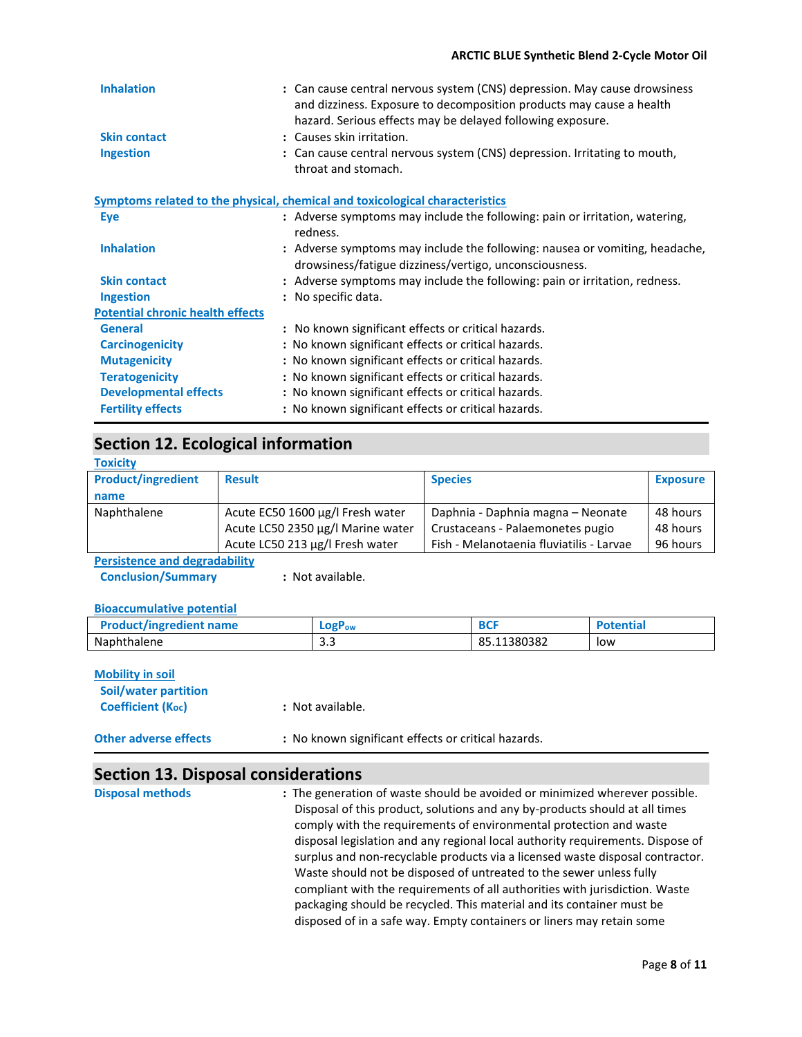#### **ARCTIC BLUE Synthetic Blend 2-Cycle Motor Oil**

| <b>Inhalation</b>                       | : Can cause central nervous system (CNS) depression. May cause drowsiness<br>and dizziness. Exposure to decomposition products may cause a health<br>hazard. Serious effects may be delayed following exposure. |
|-----------------------------------------|-----------------------------------------------------------------------------------------------------------------------------------------------------------------------------------------------------------------|
| <b>Skin contact</b>                     | : Causes skin irritation.                                                                                                                                                                                       |
| <b>Ingestion</b>                        | : Can cause central nervous system (CNS) depression. Irritating to mouth,<br>throat and stomach.                                                                                                                |
|                                         | Symptoms related to the physical, chemical and toxicological characteristics                                                                                                                                    |
| Eye                                     | : Adverse symptoms may include the following: pain or irritation, watering,<br>redness.                                                                                                                         |
| <b>Inhalation</b>                       | : Adverse symptoms may include the following: nausea or vomiting, headache,<br>drowsiness/fatigue dizziness/vertigo, unconsciousness.                                                                           |
| <b>Skin contact</b>                     | : Adverse symptoms may include the following: pain or irritation, redness.                                                                                                                                      |
| <b>Ingestion</b>                        | : No specific data.                                                                                                                                                                                             |
| <b>Potential chronic health effects</b> |                                                                                                                                                                                                                 |
| <b>General</b>                          | : No known significant effects or critical hazards.                                                                                                                                                             |
| <b>Carcinogenicity</b>                  | : No known significant effects or critical hazards.                                                                                                                                                             |
| <b>Mutagenicity</b>                     | : No known significant effects or critical hazards.                                                                                                                                                             |
| <b>Teratogenicity</b>                   | : No known significant effects or critical hazards.                                                                                                                                                             |
| <b>Developmental effects</b>            | : No known significant effects or critical hazards.                                                                                                                                                             |
| <b>Fertility effects</b>                | : No known significant effects or critical hazards.                                                                                                                                                             |

### **Section 12. Ecological information**

| <b>Toxicity</b>           |                                   |                                          |                 |
|---------------------------|-----------------------------------|------------------------------------------|-----------------|
| <b>Product/ingredient</b> | <b>Result</b>                     | <b>Species</b>                           | <b>Exposure</b> |
| name                      |                                   |                                          |                 |
| Naphthalene               | Acute EC50 1600 µg/l Fresh water  | Daphnia - Daphnia magna - Neonate        | 48 hours        |
|                           | Acute LC50 2350 µg/l Marine water | Crustaceans - Palaemonetes pugio         | 48 hours        |
|                           | Acute LC50 213 µg/l Fresh water   | Fish - Melanotaenia fluviatilis - Larvae | 96 hours        |

**Persistence and degradability**

**Conclusion/Summary : Not available.** 

#### **Bioaccumulative potential**

| <b>Product/ingredient name</b> | $LogP_{ow}$       | n er<br>ושט | Potential |
|--------------------------------|-------------------|-------------|-----------|
| Naphthalene                    | $\sim$ $\sim$<br> | 85.11380382 | low       |

| <b>Mobility in soil</b><br>Soil/water partition<br><b>Coefficient (Koc)</b> | : Not available.                                    |  |
|-----------------------------------------------------------------------------|-----------------------------------------------------|--|
| <b>Other adverse effects</b>                                                | : No known significant effects or critical hazards. |  |

### **Section 13. Disposal considerations**

**Disposal methods :** The generation of waste should be avoided or minimized wherever possible. Disposal of this product, solutions and any by-products should at all times comply with the requirements of environmental protection and waste disposal legislation and any regional local authority requirements. Dispose of surplus and non-recyclable products via a licensed waste disposal contractor. Waste should not be disposed of untreated to the sewer unless fully compliant with the requirements of all authorities with jurisdiction. Waste packaging should be recycled. This material and its container must be disposed of in a safe way. Empty containers or liners may retain some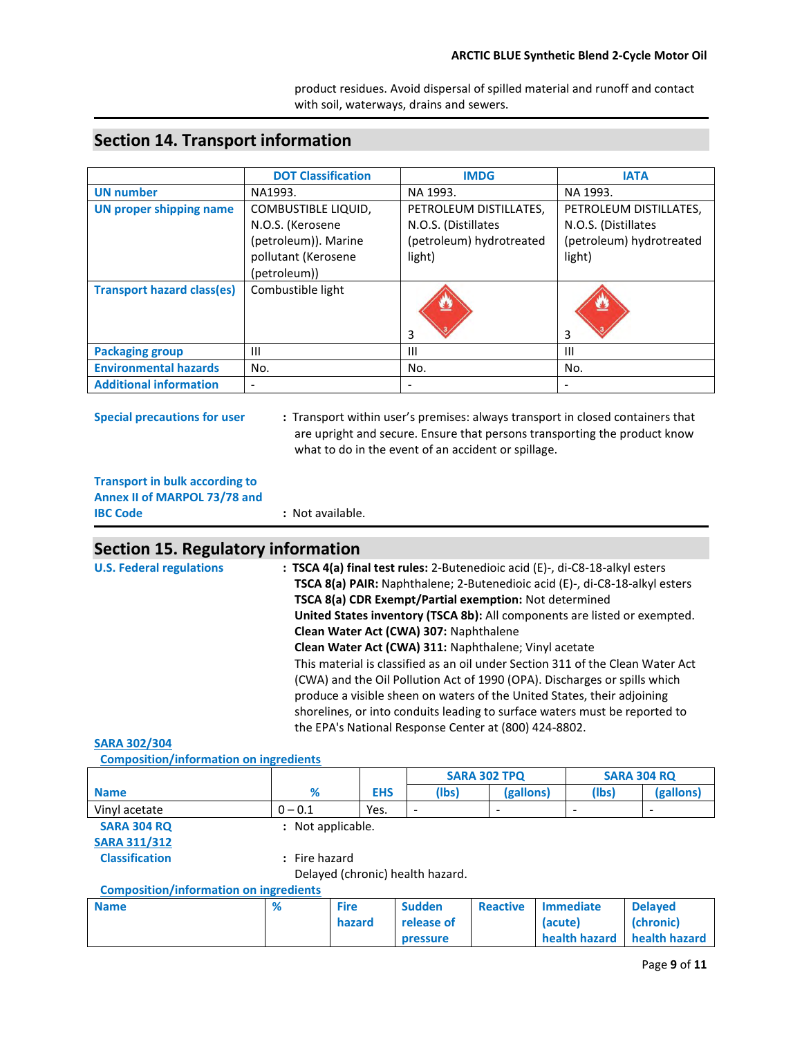product residues. Avoid dispersal of spilled material and runoff and contact with soil, waterways, drains and sewers.

|                                   | <b>DOT Classification</b>                                                                     | <b>IMDG</b>                                                                         | <b>IATA</b>                                                                         |
|-----------------------------------|-----------------------------------------------------------------------------------------------|-------------------------------------------------------------------------------------|-------------------------------------------------------------------------------------|
| <b>UN</b> number                  | NA1993.                                                                                       | NA 1993.                                                                            | NA 1993.                                                                            |
| <b>UN proper shipping name</b>    | <b>COMBUSTIBLE LIQUID,</b><br>N.O.S. (Kerosene<br>(petroleum)). Marine<br>pollutant (Kerosene | PETROLEUM DISTILLATES,<br>N.O.S. (Distillates<br>(petroleum) hydrotreated<br>light) | PETROLEUM DISTILLATES,<br>N.O.S. (Distillates<br>(petroleum) hydrotreated<br>light) |
| <b>Transport hazard class(es)</b> | (petroleum))<br>Combustible light                                                             | 3                                                                                   | 3                                                                                   |
| <b>Packaging group</b>            | Ш                                                                                             | Ш                                                                                   | $\mathbf{H}$                                                                        |
| <b>Environmental hazards</b>      | No.                                                                                           | No.                                                                                 | No.                                                                                 |
| <b>Additional information</b>     | $\overline{\phantom{a}}$                                                                      | $\overline{\phantom{a}}$                                                            |                                                                                     |

### **Section 14. Transport information**

**Special precautions for user :** Transport within user's premises: always transport in closed containers that are upright and secure. Ensure that persons transporting the product know what to do in the event of an accident or spillage.

### **Transport in bulk according to Annex II of MARPOL 73/78 and**

| <b>IBC Code</b> | : Not available. |
|-----------------|------------------|
|                 |                  |

### **Section 15. Regulatory information**

| <b>U.S. Federal regulations</b> | : TSCA 4(a) final test rules: 2-Butenedioic acid (E)-, di-C8-18-alkyl esters<br>TSCA 8(a) PAIR: Naphthalene; 2-Butenedioic acid (E)-, di-C8-18-alkyl esters |
|---------------------------------|-------------------------------------------------------------------------------------------------------------------------------------------------------------|
|                                 | TSCA 8(a) CDR Exempt/Partial exemption: Not determined                                                                                                      |
|                                 |                                                                                                                                                             |
|                                 | United States inventory (TSCA 8b): All components are listed or exempted.                                                                                   |
|                                 | Clean Water Act (CWA) 307: Naphthalene                                                                                                                      |
|                                 | Clean Water Act (CWA) 311: Naphthalene; Vinyl acetate                                                                                                       |
|                                 | This material is classified as an oil under Section 311 of the Clean Water Act                                                                              |
|                                 | (CWA) and the Oil Pollution Act of 1990 (OPA). Discharges or spills which                                                                                   |
|                                 | produce a visible sheen on waters of the United States, their adjoining                                                                                     |
|                                 | shorelines, or into conduits leading to surface waters must be reported to                                                                                  |
|                                 | the EPA's National Response Center at (800) 424-8802.                                                                                                       |

#### **SARA 302/304**

 **Composition/information on ingredients** 

|                                               |                                         | <b>SARA 302 TPQ</b> |                                  |                                  |                               | <b>SARA 304 RQ</b> |  |
|-----------------------------------------------|-----------------------------------------|---------------------|----------------------------------|----------------------------------|-------------------------------|--------------------|--|
| <b>Name</b>                                   | %                                       | <b>EHS</b>          | (lbs)                            | (gallons)                        | (lbs)                         | (gallons)          |  |
| Vinyl acetate                                 | $0 - 0.1$                               | Yes.                |                                  |                                  |                               |                    |  |
| <b>SARA 304 RQ</b>                            | Not applicable.<br>$\ddot{\phantom{a}}$ |                     |                                  |                                  |                               |                    |  |
| <b>SARA 311/312</b>                           |                                         |                     |                                  |                                  |                               |                    |  |
| <b>Classification</b>                         | : Fire hazard                           |                     |                                  |                                  |                               |                    |  |
|                                               |                                         |                     | Delayed (chronic) health hazard. |                                  |                               |                    |  |
| <b>Composition/information on ingredients</b> |                                         |                     |                                  |                                  |                               |                    |  |
| <b>Belling and the State</b>                  | $\sim$                                  | <b>Continued</b>    | <b>Constitution</b>              | <b>The contract of the State</b> | and the company of the state. | <b>Instruction</b> |  |

| <b>Name</b> | % | <b>Fire</b> | <b>Sudden</b> | Reactive | <b>Immediate</b>            | <b>Delaved</b> |
|-------------|---|-------------|---------------|----------|-----------------------------|----------------|
|             |   | hazard      | release of    |          | (acute)                     | (chronic)      |
|             |   |             | pressure      |          | health hazard health hazard |                |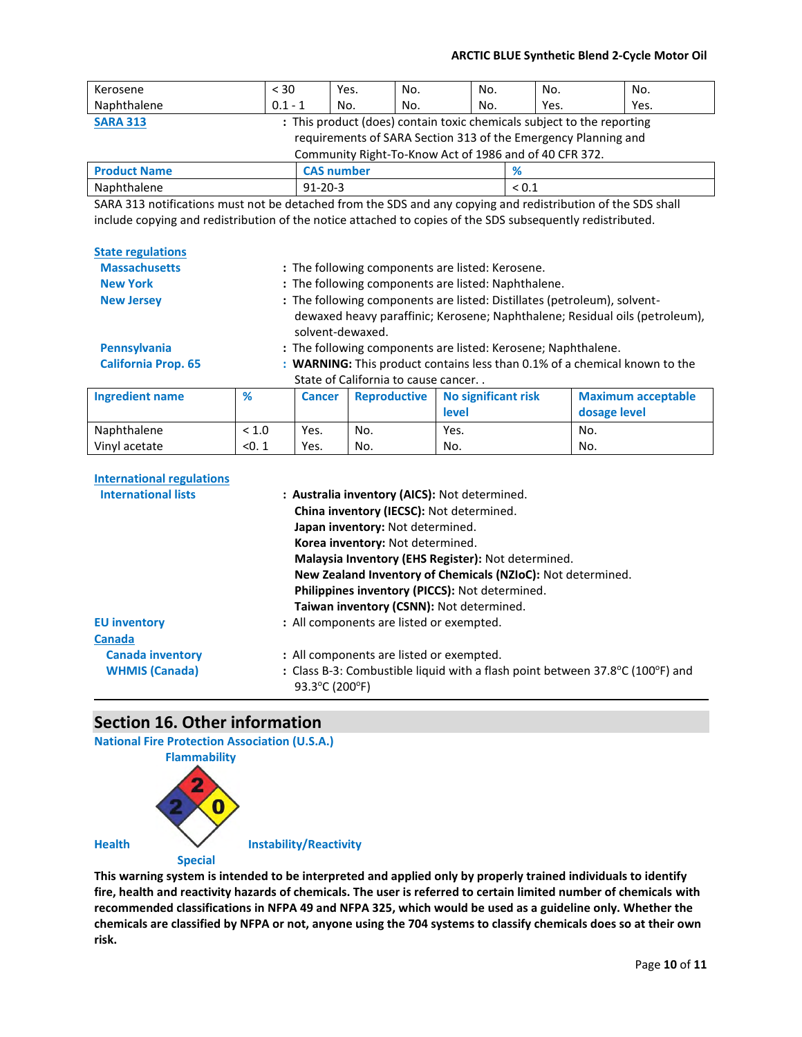| Kerosene                                                                                                                                                                                                                                                                                                                                                                                                                                                   | < 30                                                                   | Yes.              | No. | No. | No.        | No.  |  |
|------------------------------------------------------------------------------------------------------------------------------------------------------------------------------------------------------------------------------------------------------------------------------------------------------------------------------------------------------------------------------------------------------------------------------------------------------------|------------------------------------------------------------------------|-------------------|-----|-----|------------|------|--|
| Naphthalene                                                                                                                                                                                                                                                                                                                                                                                                                                                | $0.1 - 1$                                                              | No.               | No. | No. | Yes.       | Yes. |  |
| <b>SARA 313</b>                                                                                                                                                                                                                                                                                                                                                                                                                                            | : This product (does) contain toxic chemicals subject to the reporting |                   |     |     |            |      |  |
| requirements of SARA Section 313 of the Emergency Planning and                                                                                                                                                                                                                                                                                                                                                                                             |                                                                        |                   |     |     |            |      |  |
| Community Right-To-Know Act of 1986 and of 40 CFR 372.                                                                                                                                                                                                                                                                                                                                                                                                     |                                                                        |                   |     |     |            |      |  |
| <b>Product Name</b>                                                                                                                                                                                                                                                                                                                                                                                                                                        |                                                                        | <b>CAS number</b> |     | %   |            |      |  |
| Naphthalene                                                                                                                                                                                                                                                                                                                                                                                                                                                | $91 - 20 - 3$                                                          |                   |     |     | ${}_{0.1}$ |      |  |
| $\mathcal{L}(\mathbf{A}, \mathbf{A}, \mathbf{A}, \mathbf{A}, \mathbf{A}, \mathbf{A}, \mathbf{A}, \mathbf{A}, \mathbf{A}, \mathbf{A}, \mathbf{A}, \mathbf{A}, \mathbf{A}, \mathbf{A}, \mathbf{A}, \mathbf{A}, \mathbf{A}, \mathbf{A}, \mathbf{A}, \mathbf{A}, \mathbf{A}, \mathbf{A}, \mathbf{A}, \mathbf{A}, \mathbf{A}, \mathbf{A}, \mathbf{A}, \mathbf{A}, \mathbf{A}, \mathbf{A}, \mathbf{A}, \mathbf{A}, \mathbf{A}, \mathbf{A}, \mathbf{A}, \mathbf{$ |                                                                        |                   |     |     |            |      |  |

SARA 313 notifications must not be detached from the SDS and any copying and redistribution of the SDS shall include copying and redistribution of the notice attached to copies of the SDS subsequently redistributed.

| <b>State regulations</b>                                       |                                                               |                                                                                                                                                                             |                                                                                                                  |                                               |                                                                            |  |
|----------------------------------------------------------------|---------------------------------------------------------------|-----------------------------------------------------------------------------------------------------------------------------------------------------------------------------|------------------------------------------------------------------------------------------------------------------|-----------------------------------------------|----------------------------------------------------------------------------|--|
| <b>Massachusetts</b>                                           | : The following components are listed: Kerosene.              |                                                                                                                                                                             |                                                                                                                  |                                               |                                                                            |  |
| <b>New York</b>                                                | : The following components are listed: Naphthalene.           |                                                                                                                                                                             |                                                                                                                  |                                               |                                                                            |  |
| <b>New Jersey</b>                                              |                                                               | : The following components are listed: Distillates (petroleum), solvent-<br>dewaxed heavy paraffinic; Kerosene; Naphthalene; Residual oils (petroleum),<br>solvent-dewaxed. |                                                                                                                  |                                               |                                                                            |  |
| <b>Pennsylvania</b>                                            | : The following components are listed: Kerosene; Naphthalene. |                                                                                                                                                                             |                                                                                                                  |                                               |                                                                            |  |
| <b>California Prop. 65</b>                                     |                                                               |                                                                                                                                                                             |                                                                                                                  |                                               | : WARNING: This product contains less than 0.1% of a chemical known to the |  |
|                                                                |                                                               |                                                                                                                                                                             | State of California to cause cancer                                                                              |                                               |                                                                            |  |
| <b>Ingredient name</b>                                         | %                                                             | <b>Cancer</b>                                                                                                                                                               | <b>Reproductive</b>                                                                                              | No significant risk                           | <b>Maximum acceptable</b>                                                  |  |
|                                                                |                                                               |                                                                                                                                                                             |                                                                                                                  | level                                         | dosage level                                                               |  |
| Naphthalene                                                    | < 1.0                                                         | Yes.                                                                                                                                                                        | No.                                                                                                              | Yes.                                          | No.                                                                        |  |
| Vinyl acetate                                                  | < 0.1                                                         | Yes.                                                                                                                                                                        | No.                                                                                                              | No.                                           | No.                                                                        |  |
| <b>International regulations</b><br><b>International lists</b> |                                                               |                                                                                                                                                                             | China inventory (IECSC): Not determined.<br>Japan inventory: Not determined.<br>Korea inventory: Not determined. | : Australia inventory (AICS): Not determined. |                                                                            |  |

|                         | Philippines inventory (PICCS): Not determined.                                                  |
|-------------------------|-------------------------------------------------------------------------------------------------|
|                         | Taiwan inventory (CSNN): Not determined.                                                        |
| <b>EU inventory</b>     | : All components are listed or exempted.                                                        |
| <b>Canada</b>           |                                                                                                 |
| <b>Canada inventory</b> | : All components are listed or exempted.                                                        |
| <b>WHMIS (Canada)</b>   | : Class B-3: Combustible liquid with a flash point between 37.8°C (100°F) and<br>93.3°C (200°F) |
|                         |                                                                                                 |

**Malaysia Inventory (EHS Register):** Not determined.

**New Zealand Inventory of Chemicals (NZIoC):** Not determined.

### **Section 16. Other information**

**National Fire Protection Association (U.S.A.)** 



**This warning system is intended to be interpreted and applied only by properly trained individuals to identify fire, health and reactivity hazards of chemicals. The user is referred to certain limited number of chemicals with recommended classifications in NFPA 49 and NFPA 325, which would be used as a guideline only. Whether the chemicals are classified by NFPA or not, anyone using the 704 systems to classify chemicals does so at their own risk.**